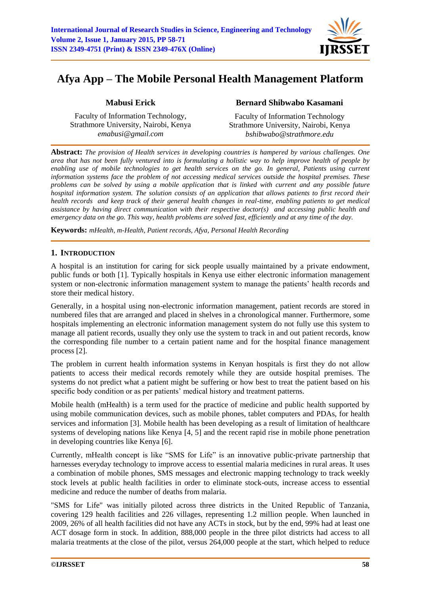

# **Afya App – The Mobile Personal Health Management Platform**

# **Mabusi Erick**

Faculty of Information Technology, Strathmore University, Nairobi, Kenya *emabusi@gmail.com*

# **Bernard Shibwabo Kasamani**

Faculty of Information Technology Strathmore University, Nairobi, Kenya *bshibwabo@strathmore.edu*

**Abstract:** *The provision of Health services in developing countries is hampered by various challenges. One area that has not been fully ventured into is formulating a holistic way to help improve health of people by enabling use of mobile technologies to get health services on the go. In general, Patients using current information systems face the problem of not accessing medical services outside the hospital premises. These problems can be solved by using a mobile application that is linked with current and any possible future hospital information system. The solution consists of an application that allows patients to first record their health records and keep track of their general health changes in real-time, enabling patients to get medical assistance by having direct communication with their respective doctor(s) and accessing public health and emergency data on the go. This way, health problems are solved fast, efficiently and at any time of the day.* 

**Keywords:** *mHealth, m-Health, Patient records, Afya, Personal Health Recording*

# **1. INTRODUCTION**

A hospital is an institution for caring for sick people usually maintained by a private endowment, public funds or both [1]. Typically hospitals in Kenya use either electronic information management system or non-electronic information management system to manage the patients' health records and store their medical history.

Generally, in a hospital using non-electronic information management, patient records are stored in numbered files that are arranged and placed in shelves in a chronological manner. Furthermore, some hospitals implementing an electronic information management system do not fully use this system to manage all patient records, usually they only use the system to track in and out patient records, know the corresponding file number to a certain patient name and for the hospital finance management process [2].

The problem in current health information systems in Kenyan hospitals is first they do not allow patients to access their medical records remotely while they are outside hospital premises. The systems do not predict what a patient might be suffering or how best to treat the patient based on his specific body condition or as per patients' medical history and treatment patterns.

Mobile health (mHealth) is a term used for the practice of medicine and public health supported by using mobile communication devices, such as mobile phones, tablet computers and PDAs, for health services and information [3]. Mobile health has been developing as a result of limitation of healthcare systems of developing nations like Kenya [4, 5] and the recent rapid rise in mobile phone penetration in developing countries like Kenya [6].

Currently, mHealth concept is like "SMS for Life" is an innovative public-private partnership that harnesses everyday technology to improve access to essential malaria medicines in rural areas. It uses a combination of mobile phones, SMS messages and electronic mapping technology to track weekly stock levels at public health facilities in order to eliminate stock-outs, increase access to essential medicine and reduce the number of deaths from malaria.

"SMS for Life" was initially piloted across three districts in the United Republic of Tanzania, covering 129 health facilities and 226 villages, representing 1.2 million people. When launched in 2009, 26% of all health facilities did not have any ACTs in stock, but by the end, 99% had at least one ACT dosage form in stock. In addition, 888,000 people in the three pilot districts had access to all malaria treatments at the close of the pilot, versus 264,000 people at the start, which helped to reduce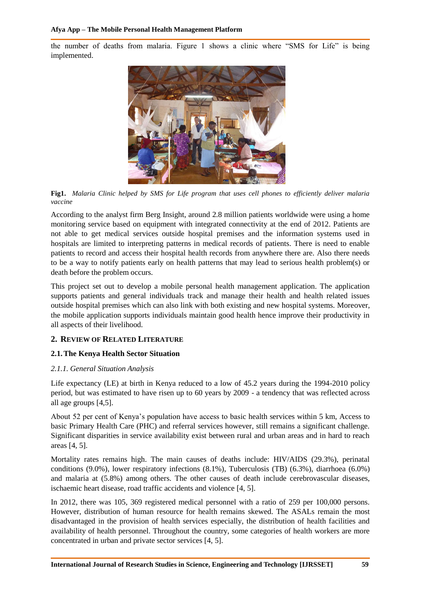the number of deaths from malaria. Figure 1 shows a clinic where "SMS for Life" is being implemented.



**Fig1.** *Malaria Clinic helped by SMS for Life program that uses cell phones to efficiently deliver malaria vaccine* 

According to the analyst firm Berg Insight, around 2.8 million patients worldwide were using a home monitoring service based on equipment with integrated connectivity at the end of 2012. Patients are not able to get medical services outside hospital premises and the information systems used in hospitals are limited to interpreting patterns in medical records of patients. There is need to enable patients to record and access their hospital health records from anywhere there are. Also there needs to be a way to notify patients early on health patterns that may lead to serious health problem(s) or death before the problem occurs.

This project set out to develop a mobile personal health management application. The application supports patients and general individuals track and manage their health and health related issues outside hospital premises which can also link with both existing and new hospital systems. Moreover, the mobile application supports individuals maintain good health hence improve their productivity in all aspects of their livelihood.

## **2. REVIEW OF RELATED LITERATURE**

#### **2.1.The Kenya Health Sector Situation**

#### *2.1.1. General Situation Analysis*

Life expectancy (LE) at birth in Kenya reduced to a low of 45.2 years during the 1994-2010 policy period, but was estimated to have risen up to 60 years by 2009 - a tendency that was reflected across all age groups [4,5].

About 52 per cent of Kenya's population have access to basic health services within 5 km, Access to basic Primary Health Care (PHC) and referral services however, still remains a significant challenge. Significant disparities in service availability exist between rural and urban areas and in hard to reach areas [4, 5].

Mortality rates remains high. The main causes of deaths include: HIV/AIDS (29.3%), perinatal conditions (9.0%), lower respiratory infections (8.1%), Tuberculosis (TB) (6.3%), diarrhoea (6.0%) and malaria at (5.8%) among others. The other causes of death include cerebrovascular diseases, ischaemic heart disease, road traffic accidents and violence [4, 5].

In 2012, there was 105, 369 registered medical personnel with a ratio of 259 per 100,000 persons. However, distribution of human resource for health remains skewed. The ASALs remain the most disadvantaged in the provision of health services especially, the distribution of health facilities and availability of health personnel. Throughout the country, some categories of health workers are more concentrated in urban and private sector services [4, 5].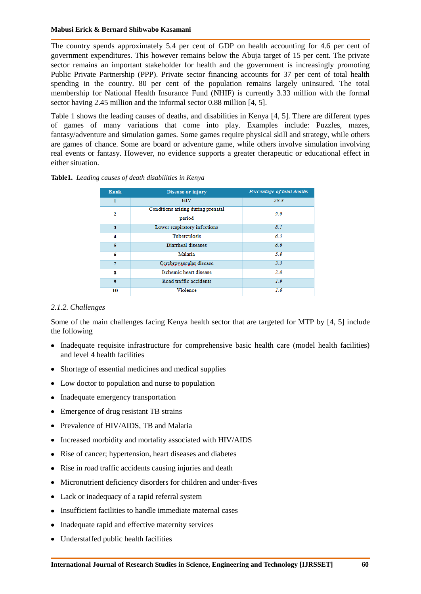The country spends approximately 5.4 per cent of GDP on health accounting for 4.6 per cent of government expenditures. This however remains below the Abuja target of 15 per cent. The private sector remains an important stakeholder for health and the government is increasingly promoting Public Private Partnership (PPP). Private sector financing accounts for 37 per cent of total health spending in the country. 80 per cent of the population remains largely uninsured. The total membership for National Health Insurance Fund (NHIF) is currently 3.33 million with the formal sector having 2.45 million and the informal sector 0.88 million [4, 5].

Table 1 shows the leading causes of deaths, and disabilities in Kenya [4, 5]. There are different types of games of many variations that come into play. Examples include: Puzzles, mazes, fantasy/adventure and simulation games. Some games require physical skill and strategy, while others are games of chance. Some are board or adventure game, while others involve simulation involving real events or fantasy. However, no evidence supports a greater therapeutic or educational effect in either situation.

#### **Table1.** *Leading causes of death disabilities in Kenya*

| <b>Rank</b>      | Disease or injury                            | Percentage of total deaths |
|------------------|----------------------------------------------|----------------------------|
| ı                | <b>HIV</b>                                   | 29.3                       |
| 2                | Conditions arising during prenatal<br>period | 9.0                        |
| 3                | Lower respiratory infections                 | 8.1                        |
| 4                | <b>Tuberculosis</b>                          | 6.3                        |
| 5                | Diarrheal diseases                           | 6.0                        |
| 6                | Malaria                                      | 5.8                        |
| 7                | Cerebrovascular disease                      | 3.3                        |
| 8                | Ischemic heart disease                       | 2.8                        |
| $\boldsymbol{9}$ | Road traffic accidents                       | 1.9                        |
| 10               | Violence                                     | 1.6                        |

#### *2.1.2. Challenges*

Some of the main challenges facing Kenya health sector that are targeted for MTP by [4, 5] include the following

- Inadequate requisite infrastructure for comprehensive basic health care (model health facilities) and level 4 health facilities
- Shortage of essential medicines and medical supplies
- Low doctor to population and nurse to population
- Inadequate emergency transportation
- Emergence of drug resistant TB strains
- Prevalence of HIV/AIDS, TB and Malaria
- Increased morbidity and mortality associated with HIV/AIDS
- Rise of cancer; hypertension, heart diseases and diabetes
- Rise in road traffic accidents causing injuries and death
- Micronutrient deficiency disorders for children and under-fives
- Lack or inadequacy of a rapid referral system
- Insufficient facilities to handle immediate maternal cases
- Inadequate rapid and effective maternity services
- Understaffed public health facilities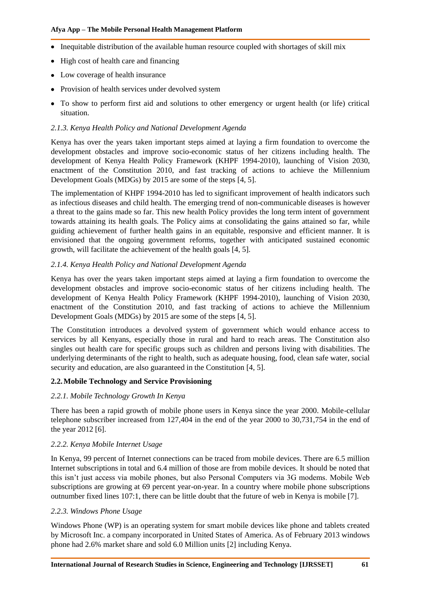- Inequitable distribution of the available human resource coupled with shortages of skill mix
- High cost of health care and financing
- Low coverage of health insurance
- Provision of health services under devolved system
- To show to perform first aid and solutions to other emergency or urgent health (or life) critical situation.

#### *2.1.3. Kenya Health Policy and National Development Agenda*

Kenya has over the years taken important steps aimed at laying a firm foundation to overcome the development obstacles and improve socio-economic status of her citizens including health. The development of Kenya Health Policy Framework (KHPF 1994-2010), launching of Vision 2030, enactment of the Constitution 2010, and fast tracking of actions to achieve the Millennium Development Goals (MDGs) by 2015 are some of the steps [4, 5].

The implementation of KHPF 1994-2010 has led to significant improvement of health indicators such as infectious diseases and child health. The emerging trend of non-communicable diseases is however a threat to the gains made so far. This new health Policy provides the long term intent of government towards attaining its health goals. The Policy aims at consolidating the gains attained so far, while guiding achievement of further health gains in an equitable, responsive and efficient manner. It is envisioned that the ongoing government reforms, together with anticipated sustained economic growth, will facilitate the achievement of the health goals [4, 5].

#### *2.1.4. Kenya Health Policy and National Development Agenda*

Kenya has over the years taken important steps aimed at laying a firm foundation to overcome the development obstacles and improve socio-economic status of her citizens including health. The development of Kenya Health Policy Framework (KHPF 1994-2010), launching of Vision 2030, enactment of the Constitution 2010, and fast tracking of actions to achieve the Millennium Development Goals (MDGs) by 2015 are some of the steps [4, 5].

The Constitution introduces a devolved system of government which would enhance access to services by all Kenyans, especially those in rural and hard to reach areas. The Constitution also singles out health care for specific groups such as children and persons living with disabilities. The underlying determinants of the right to health, such as adequate housing, food, clean safe water, social security and education, are also guaranteed in the Constitution [4, 5].

#### **2.2.Mobile Technology and Service Provisioning**

#### *2.2.1. Mobile Technology Growth In Kenya*

There has been a rapid growth of mobile phone users in Kenya since the year 2000. Mobile-cellular telephone subscriber increased from 127,404 in the end of the year 2000 to 30,731,754 in the end of the year 2012 [6].

### *2.2.2. Kenya Mobile Internet Usage*

In Kenya, 99 percent of Internet connections can be traced from mobile devices. There are 6.5 million Internet subscriptions in total and 6.4 million of those are from mobile devices. It should be noted that this isn't just access via mobile phones, but also Personal Computers via 3G modems. Mobile Web subscriptions are growing at 69 percent year-on-year. In a country where mobile phone subscriptions outnumber fixed lines 107:1, there can be little doubt that the future of web in Kenya is mobile [7].

#### *2.2.3. Windows Phone Usage*

Windows Phone (WP) is an operating system for smart mobile devices like phone and tablets created by Microsoft Inc. a company incorporated in United States of America. As of February 2013 windows phone had 2.6% market share and sold 6.0 Million units [2] including Kenya.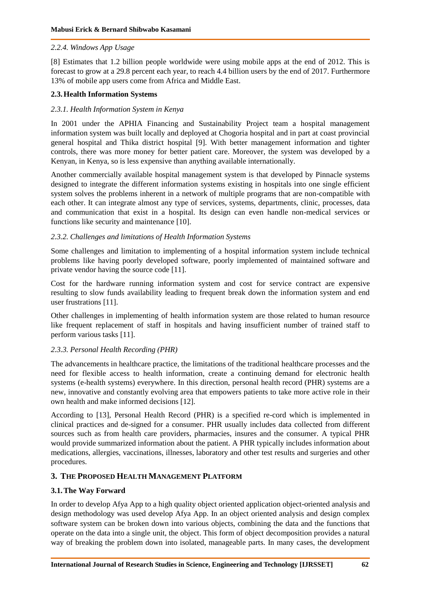#### *2.2.4. Windows App Usage*

[8] Estimates that 1.2 billion people worldwide were using mobile apps at the end of 2012. This is forecast to grow at a 29.8 percent each year, to reach 4.4 billion users by the end of 2017. Furthermore 13% of mobile app users come from Africa and Middle East.

#### **2.3.Health Information Systems**

#### *2.3.1. Health Information System in Kenya*

In 2001 under the APHIA Financing and Sustainability Project team a hospital management information system was built locally and deployed at Chogoria hospital and in part at coast provincial general hospital and Thika district hospital [9]. With better management information and tighter controls, there was more money for better patient care. Moreover, the system was developed by a Kenyan, in Kenya, so is less expensive than anything available internationally.

Another commercially available hospital management system is that developed by Pinnacle systems designed to integrate the different information systems existing in hospitals into one single efficient system solves the problems inherent in a network of multiple programs that are non-compatible with each other. It can integrate almost any type of services, systems, departments, clinic, processes, data and communication that exist in a hospital. Its design can even handle non-medical services or functions like security and maintenance [10].

#### *2.3.2. Challenges and limitations of Health Information Systems*

Some challenges and limitation to implementing of a hospital information system include technical problems like having poorly developed software, poorly implemented of maintained software and private vendor having the source code [11].

Cost for the hardware running information system and cost for service contract are expensive resulting to slow funds availability leading to frequent break down the information system and end user frustrations [11].

Other challenges in implementing of health information system are those related to human resource like frequent replacement of staff in hospitals and having insufficient number of trained staff to perform various tasks [11].

#### *2.3.3. Personal Health Recording (PHR)*

The advancements in healthcare practice, the limitations of the traditional healthcare processes and the need for flexible access to health information, create a continuing demand for electronic health systems (e-health systems) everywhere. In this direction, personal health record (PHR) systems are a new, innovative and constantly evolving area that empowers patients to take more active role in their own health and make informed decisions [12].

According to [13], Personal Health Record (PHR) is a specified re-cord which is implemented in clinical practices and de-signed for a consumer. PHR usually includes data collected from different sources such as from health care providers, pharmacies, insures and the consumer. A typical PHR would provide summarized information about the patient. A PHR typically includes information about medications, allergies, vaccinations, illnesses, laboratory and other test results and surgeries and other procedures.

#### **3. THE PROPOSED HEALTH MANAGEMENT PLATFORM**

#### **3.1.The Way Forward**

In order to develop Afya App to a high quality object oriented application object-oriented analysis and design methodology was used develop Afya App. In an object oriented analysis and design complex software system can be broken down into various objects, combining the data and the functions that operate on the data into a single unit, the object. This form of object decomposition provides a natural way of breaking the problem down into isolated, manageable parts. In many cases, the development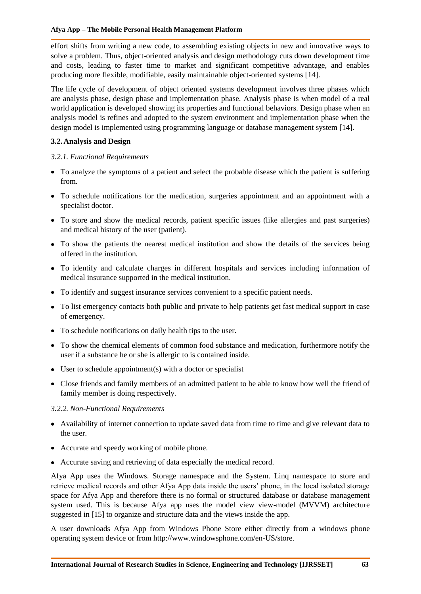effort shifts from writing a new code, to assembling existing objects in new and innovative ways to solve a problem. Thus, object-oriented analysis and design methodology cuts down development time and costs, leading to faster time to market and significant competitive advantage, and enables producing more flexible, modifiable, easily maintainable object-oriented systems [14].

The life cycle of development of object oriented systems development involves three phases which are analysis phase, design phase and implementation phase. Analysis phase is when model of a real world application is developed showing its properties and functional behaviors. Design phase when an analysis model is refines and adopted to the system environment and implementation phase when the design model is implemented using programming language or database management system [14].

## **3.2.Analysis and Design**

### *3.2.1. Functional Requirements*

- To analyze the symptoms of a patient and select the probable disease which the patient is suffering from.
- To schedule notifications for the medication, surgeries appointment and an appointment with a specialist doctor.
- To store and show the medical records, patient specific issues (like allergies and past surgeries) and medical history of the user (patient).
- To show the patients the nearest medical institution and show the details of the services being offered in the institution.
- To identify and calculate charges in different hospitals and services including information of medical insurance supported in the medical institution.
- To identify and suggest insurance services convenient to a specific patient needs.
- To list emergency contacts both public and private to help patients get fast medical support in case of emergency.
- To schedule notifications on daily health tips to the user.
- To show the chemical elements of common food substance and medication, furthermore notify the user if a substance he or she is allergic to is contained inside.
- User to schedule appointment(s) with a doctor or specialist
- Close friends and family members of an admitted patient to be able to know how well the friend of family member is doing respectively.

#### *3.2.2. Non-Functional Requirements*

- Availability of internet connection to update saved data from time to time and give relevant data to the user.
- Accurate and speedy working of mobile phone.
- Accurate saving and retrieving of data especially the medical record.

Afya App uses the Windows. Storage namespace and the System. Linq namespace to store and retrieve medical records and other Afya App data inside the users' phone, in the local isolated storage space for Afya App and therefore there is no formal or structured database or database management system used. This is because Afya app uses the model view view-model (MVVM) architecture suggested in [15] to organize and structure data and the views inside the app.

A user downloads Afya App from Windows Phone Store either directly from a windows phone operating system device or from http://www.windowsphone.com/en-US/store.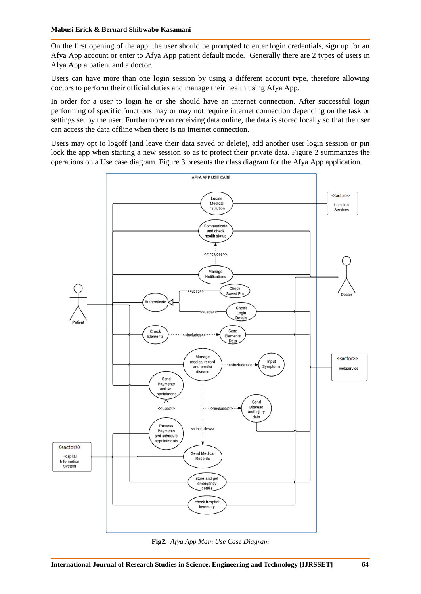On the first opening of the app, the user should be prompted to enter login credentials, sign up for an Afya App account or enter to Afya App patient default mode. Generally there are 2 types of users in Afya App a patient and a doctor.

Users can have more than one login session by using a different account type, therefore allowing doctors to perform their official duties and manage their health using Afya App.

In order for a user to login he or she should have an internet connection. After successful login performing of specific functions may or may not require internet connection depending on the task or settings set by the user. Furthermore on receiving data online, the data is stored locally so that the user can access the data offline when there is no internet connection.

Users may opt to logoff (and leave their data saved or delete), add another user login session or pin lock the app when starting a new session so as to protect their private data. Figure 2 summarizes the operations on a Use case diagram. Figure 3 presents the class diagram for the Afya App application.



**Fig2.** *Afya App Main Use Case Diagram*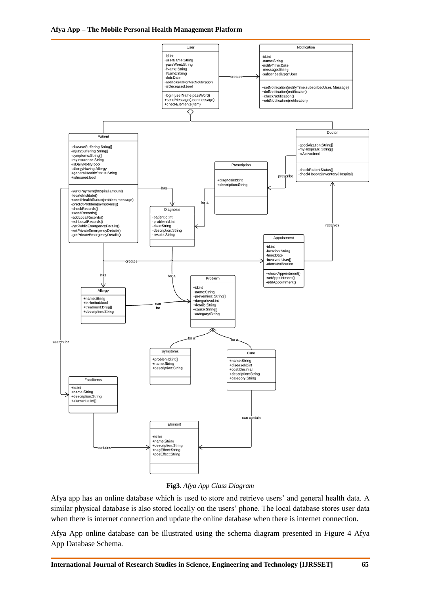



#### **Fig3.** *Afya App Class Diagram*

Afya app has an online database which is used to store and retrieve users' and general health data. A similar physical database is also stored locally on the users' phone. The local database stores user data when there is internet connection and update the online database when there is internet connection.

Afya App online database can be illustrated using the schema diagram presented in Figure 4 Afya App Database Schema.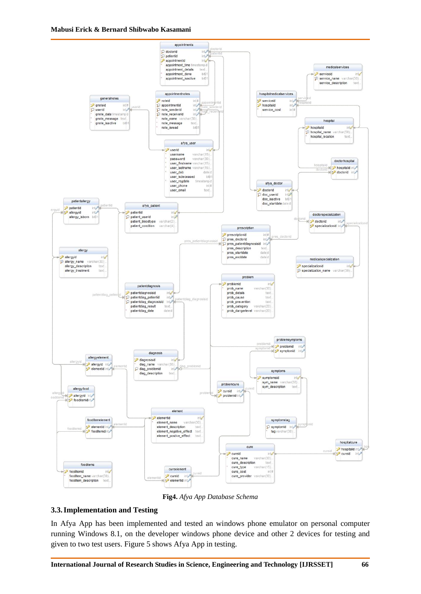

**Fig4.** *Afya App Database Schema*

#### **3.3.Implementation and Testing**

In Afya App has been implemented and tested an windows phone emulator on personal computer running Windows 8.1, on the developer windows phone device and other 2 devices for testing and given to two test users. Figure 5 shows Afya App in testing.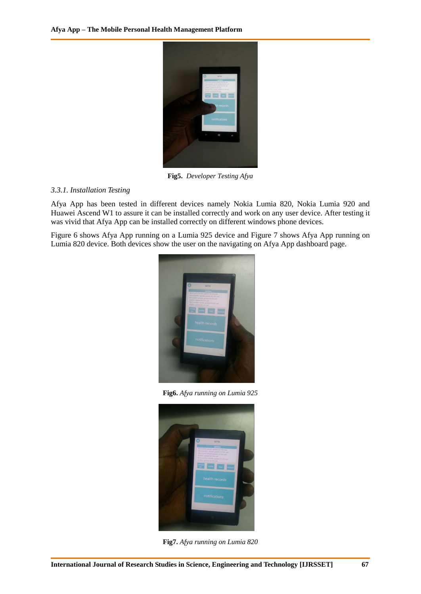

**Fig5.** *Developer Testing Afya*

#### *3.3.1. Installation Testing*

Afya App has been tested in different devices namely Nokia Lumia 820, Nokia Lumia 920 and Huawei Ascend W1 to assure it can be installed correctly and work on any user device. After testing it was vivid that Afya App can be installed correctly on different windows phone devices.

Figure 6 shows Afya App running on a Lumia 925 device and Figure 7 shows Afya App running on Lumia 820 device. Both devices show the user on the navigating on Afya App dashboard page.



**Fig6.** *Afya running on Lumia 925*



**Fig7.** *Afya running on Lumia 820*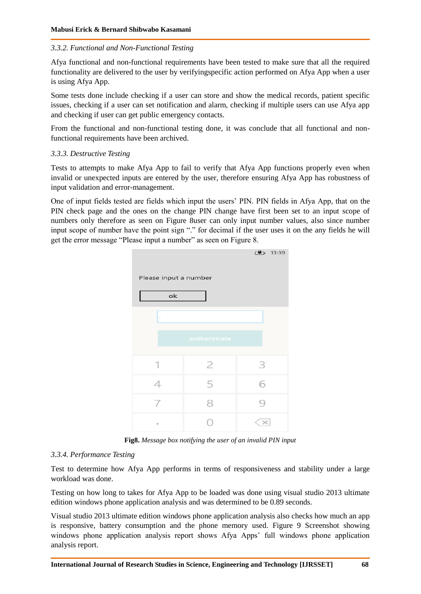#### *3.3.2. Functional and Non-Functional Testing*

Afya functional and non-functional requirements have been tested to make sure that all the required functionality are delivered to the user by verifyingspecific action performed on Afya App when a user is using Afya App.

Some tests done include checking if a user can store and show the medical records, patient specific issues, checking if a user can set notification and alarm, checking if multiple users can use Afya app and checking if user can get public emergency contacts.

From the functional and non-functional testing done, it was conclude that all functional and nonfunctional requirements have been archived.

#### *3.3.3. Destructive Testing*

Tests to attempts to make Afya App to fail to verify that Afya App functions properly even when invalid or unexpected inputs are entered by the user, therefore ensuring Afya App has robustness of input validation and error-management.

One of input fields tested are fields which input the users' PIN. PIN fields in Afya App, that on the PIN check page and the ones on the change PIN change have first been set to an input scope of numbers only therefore as seen on Figure 8user can only input number values, also since number input scope of number have the point sign "." for decimal if the user uses it on the any fields he will get the error message "Please input a number" as seen on Figure 8.



**Fig8.** *Message box notifying the user of an invalid PIN input*

#### *3.3.4. Performance Testing*

Test to determine how Afya App performs in terms of responsiveness and stability under a large workload was done.

Testing on how long to takes for Afya App to be loaded was done using visual studio 2013 ultimate edition windows phone application analysis and was determined to be 0.89 seconds.

Visual studio 2013 ultimate edition windows phone application analysis also checks how much an app is responsive, battery consumption and the phone memory used. Figure 9 Screenshot showing windows phone application analysis report shows Afya Apps' full windows phone application analysis report.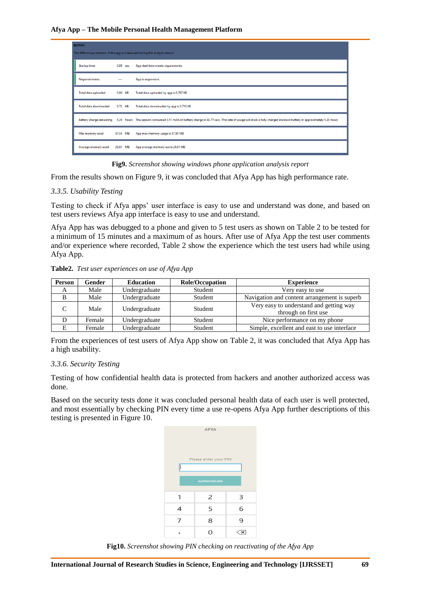| <b>REPORT</b>                                                               |          |          |                                                                                                                                                                                               |  |  |
|-----------------------------------------------------------------------------|----------|----------|-----------------------------------------------------------------------------------------------------------------------------------------------------------------------------------------------|--|--|
| The different parameters of the app as measured during the analysis session |          |          |                                                                                                                                                                                               |  |  |
| <b>Startup time</b>                                                         |          | 0.89 sec | App start time meets requirements.                                                                                                                                                            |  |  |
| <b>Responsiveness</b>                                                       | $\cdots$ |          | App is responsive.                                                                                                                                                                            |  |  |
| Total data uploaded                                                         |          | 0.80 KB  | Total data uploaded by app is 0.797 KB                                                                                                                                                        |  |  |
| Total data downloaded                                                       |          | 0.72 KB  | Total data downloaded by app is 0.715 KB                                                                                                                                                      |  |  |
|                                                                             |          |          | Battery charge remaining 5.20 hours The session consumed 3.51 mAh of battery charge in 43.77 secs. This rate of usage will drain a fully charged standard battery in approximately 5.20 hours |  |  |
| Max memory used                                                             | 57.55 MB |          | App max memory usage is 57.55 MB                                                                                                                                                              |  |  |
| Average memory used                                                         | 28.81 MB |          | App average memory use is 28.81 MB                                                                                                                                                            |  |  |

**Fig9.** *Screenshot showing windows phone application analysis report*

From the results shown on Figure 9, it was concluded that Afya App has high performance rate.

#### *3.3.5. Usability Testing*

Testing to check if Afya apps' user interface is easy to use and understand was done, and based on test users reviews Afya app interface is easy to use and understand.

Afya App has was debugged to a phone and given to 5 test users as shown on Table 2 to be tested for a minimum of 15 minutes and a maximum of as hours. After use of Afya App the test user comments and/or experience where recorded, Table 2 show the experience which the test users had while using Afya App.

**Table2.** *Test user experiences on use of Afya App*

| <b>Person</b> | Gender | <b>Education</b> | <b>Role/Occupation</b> | <b>Experience</b>                                               |
|---------------|--------|------------------|------------------------|-----------------------------------------------------------------|
| A             | Male   | Undergraduate    | Student                | Very easy to use                                                |
|               | Male   | Undergraduate    | Student                | Navigation and content arrangement is superb                    |
|               | Male   | Undergraduate    | Student                | Very easy to understand and getting way<br>through on first use |
|               | Female | Undergraduate    | Student                | Nice performance on my phone                                    |
|               | Female | Undergraduate    | Student                | Simple, excellent and east to use interface                     |

From the experiences of test users of Afya App show on Table 2, it was concluded that Afya App has a high usability.

#### *3.3.6. Security Testing*

Testing of how confidential health data is protected from hackers and another authorized access was done.

Based on the security tests done it was concluded personal health data of each user is well protected, and most essentially by checking PIN every time a use re-opens Afya App further descriptions of this testing is presented in Figure 10.

| <b>AFYA</b>           |                |   |  |  |  |  |  |  |
|-----------------------|----------------|---|--|--|--|--|--|--|
| Please enter your PIN |                |   |  |  |  |  |  |  |
|                       |                |   |  |  |  |  |  |  |
|                       |                |   |  |  |  |  |  |  |
| authenticate          |                |   |  |  |  |  |  |  |
|                       |                |   |  |  |  |  |  |  |
| 1                     | $\overline{2}$ | 3 |  |  |  |  |  |  |
| 4                     | 5              | 6 |  |  |  |  |  |  |
| 7                     | 8              | 9 |  |  |  |  |  |  |
|                       | $\Omega$       |   |  |  |  |  |  |  |
|                       |                |   |  |  |  |  |  |  |

**Fig10.** *Screenshot showing PIN checking on reactivating of the Afya App*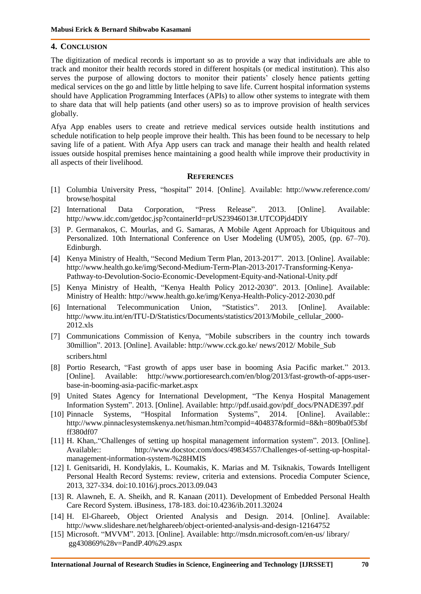#### **4. CONCLUSION**

The digitization of medical records is important so as to provide a way that individuals are able to track and monitor their health records stored in different hospitals (or medical institution). This also serves the purpose of allowing doctors to monitor their patients' closely hence patients getting medical services on the go and little by little helping to save life. Current hospital information systems should have Application Programming Interfaces (APIs) to allow other systems to integrate with them to share data that will help patients (and other users) so as to improve provision of health services globally.

Afya App enables users to create and retrieve medical services outside health institutions and schedule notification to help people improve their health. This has been found to be necessary to help saving life of a patient. With Afya App users can track and manage their health and health related issues outside hospital premises hence maintaining a good health while improve their productivity in all aspects of their livelihood.

#### **REFERENCES**

- [1] Columbia University Press, "hospital" 2014. [Online]. Available: <http://www.reference.com/> browse/hospital
- [2] International Data Corporation, "Press Release". 2013. [Online]. Available: http://www.idc.com/getdoc.jsp?containerId=prUS23946013#.UTCOPjd4DlY
- [3] P. Germanakos, C. Mourlas, and G. Samaras, A Mobile Agent Approach for Ubiquitous and Personalized. 10th International Conference on User Modeling (UM'05), 2005, (pp. 67–70). Edinburgh.
- [4] Kenya Ministry of Health, "Second Medium Term Plan, 2013-2017". 2013. [Online]. Available: http://www.health.go.ke/img/Second-Medium-Term-Plan-2013-2017-Transforming-Kenya-Pathway-to-Devolution-Socio-Economic-Development-Equity-and-National-Unity.pdf
- [5] Kenya Ministry of Health, "Kenya Health Policy 2012-2030". 2013. [Online]. Available: Ministry of Health: http://www.health.go.ke/img/Kenya-Health-Policy-2012-2030.pdf
- [6] International Telecommunication Union, "Statistics". 2013. [Online]. Available: http://www.itu.int/en/ITU-D/Statistics/Documents/statistics/2013/Mobile\_cellular\_2000- 2012.xls
- [7] Communications Commission of Kenya, "Mobile subscribers in the country inch towards 30million". 2013. [Online]. Available: http://www.cck.go.ke/ news/2012/ Mobile\_Sub scribers.html
- [8] Portio Research, "Fast growth of apps user base in booming Asia Pacific market." 2013. [Online]. Available: http://www.portioresearch.com/en/blog/2013/fast-growth-of-apps-userbase-in-booming-asia-pacific-market.aspx
- [9] United States Agency for International Development, "The Kenya Hospital Management Information System". 2013. [Online]. Available: http://pdf.usaid.gov/pdf\_docs/PNADE397.pdf
- [10] Pinnacle Systems, "Hospital Information Systems", 2014. [Online]. Available:: http://www.pinnaclesystemskenya.net/hisman.htm?compid=404837&formid=8&h=809ba0f53bf ff380df07
- [11] H. Khan,. "Challenges of setting up hospital management information system". 2013. [Online]. Available:: http://www.docstoc.com/docs/49834557/Challenges-of-setting-up-hospitalmanagement-information-system-%28HMIS
- [12] I. Genitsaridi, H. Kondylakis, L. Koumakis, K. Marias and M. Tsiknakis, Towards Intelligent Personal Health Record Systems: review, criteria and extensions. Procedia Computer Science, 2013, 327-334. doi:10.1016/j.procs.2013.09.043
- [13] R. Alawneh, E. A. Sheikh, and R. Kanaan (2011). Development of Embedded Personal Health Care Record System. iBusiness, 178-183. doi:10.4236/ib.2011.32024
- [14] H. El-Ghareeb, Object Oriented Analysis and Design. 2014. [Online]. Available: http://www.slideshare.net/helghareeb/object-oriented-analysis-and-design-12164752
- [15] Microsoft. "MVVM". 2013. [Online]. Available: http://msdn.microsoft.com/en-us/ library/ gg430869%28v=PandP.40%29.aspx